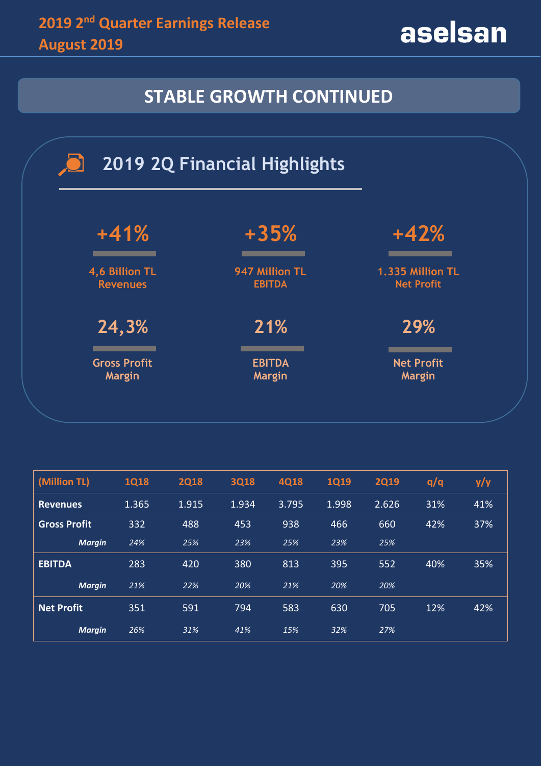aselsan

# **STABLE GROWTH CONTINUED**



| (Million TL)        | <b>1Q18</b> | <b>2Q18</b> | <b>3Q18</b> | <b>4Q18</b> | <b>1Q19</b> | <b>2Q19</b> | q/q | y/y |
|---------------------|-------------|-------------|-------------|-------------|-------------|-------------|-----|-----|
| <b>Revenues</b>     | 1.365       | 1.915       | 1.934       | 3.795       | 1.998       | 2.626       | 31% | 41% |
| <b>Gross Profit</b> | 332         | 488         | 453         | 938         | 466         | 660         | 42% | 37% |
| <b>Margin</b>       | 24%         | 25%         | 23%         | 25%         | 23%         | 25%         |     |     |
| <b>EBITDA</b>       | 283         | 420         | 380         | 813         | 395         | 552         | 40% | 35% |
| <b>Margin</b>       | 21%         | 22%         | 20%         | 21%         | 20%         | 20%         |     |     |
| Net Profit          | 351         | 591         | 794         | 583         | 630         | 705         | 12% | 42% |
| <b>Margin</b>       | 26%         | 31%         | 41%         | 15%         | 32%         | 27%         |     |     |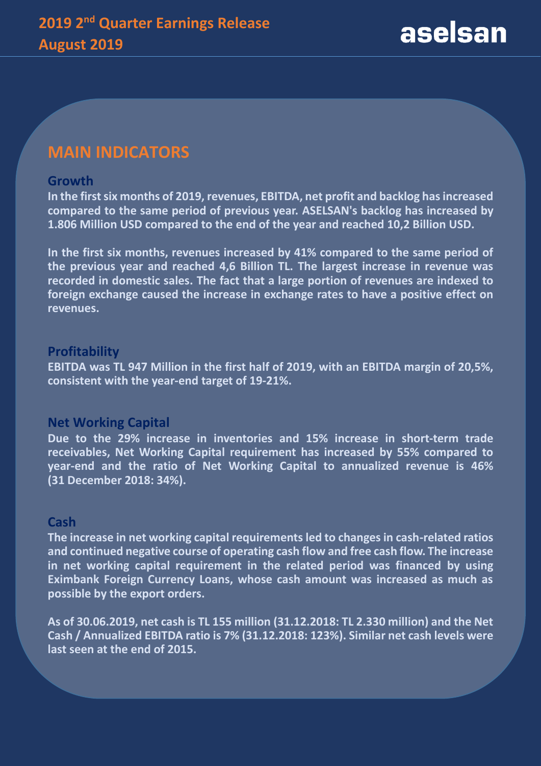### **MAIN INDICATORS**

#### **Growth**

**In the first six months of 2019, revenues, EBITDA, net profit and backlog has increased compared to the same period of previous year. ASELSAN's backlog has increased by 1.806 Million USD compared to the end of the year and reached 10,2 Billion USD.** 

**In the first six months, revenues increased by 41% compared to the same period of the previous year and reached 4,6 Billion TL. The largest increase in revenue was recorded in domestic sales. The fact that a large portion of revenues are indexed to foreign exchange caused the increase in exchange rates to have a positive effect on revenues.**

#### **Profitability**

**EBITDA was TL 947 Million in the first half of 2019, with an EBITDA margin of 20,5%, consistent with the year-end target of 19-21%.**

#### **Net Working Capital**

**Due to the 29% increase in inventories and 15% increase in short-term trade receivables, Net Working Capital requirement has increased by 55% compared to year-end and the ratio of Net Working Capital to annualized revenue is 46% (31 December 2018: 34%).**

#### **Cash**

**The increase in net working capital requirements led to changes in cash-related ratios and continued negative course of operating cash flow and free cash flow. The increase in net working capital requirement in the related period was financed by using Eximbank Foreign Currency Loans, whose cash amount was increased as much as possible by the export orders.**

**As of 30.06.2019, net cash is TL 155 million (31.12.2018: TL 2.330 million) and the Net Cash / Annualized EBITDA ratio is 7% (31.12.2018: 123%). Similar net cash levels were last seen at the end of 2015.**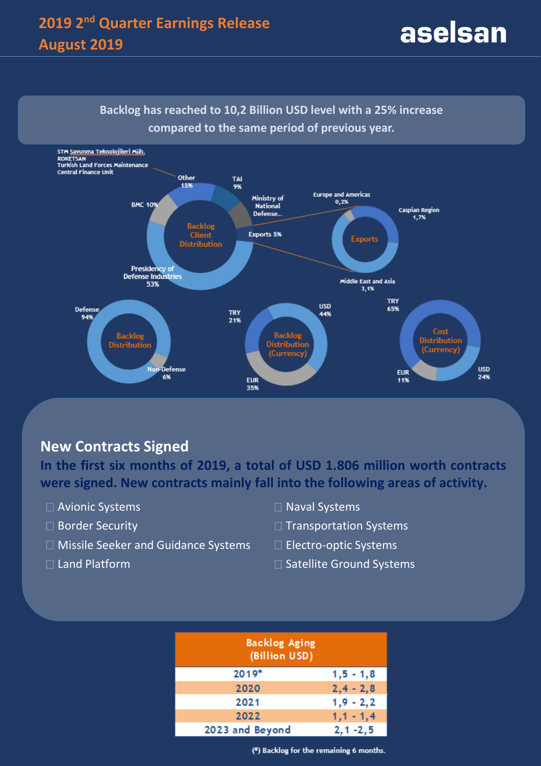# **2019 2nd Quarter Earnings Release August 2019**



### **New Contracts Signed**

**In the first six months of 2019, a total of USD 1.806 million worth contracts were signed. New contracts mainly fall into the following areas of activity.**

- □ Avionic Systems
- □ Border Security
- □ Missile Seeker and Guidance Systems
- $\Box$  Land Platform
- □ Naval Systems
- $\Box$  Transportation Systems
- □ Electro-optic Systems
- $\square$  Satellite Ground Systems

| <b>Backlog Aging</b><br>(Billion USD) |               |  |  |  |  |  |
|---------------------------------------|---------------|--|--|--|--|--|
| 2019*                                 | $1, 5 - 1, 8$ |  |  |  |  |  |
| 2020                                  | $2, 4 - 2, 8$ |  |  |  |  |  |
| 2021                                  | $1,9 - 2,2$   |  |  |  |  |  |
| 2022                                  | $1,1 - 1,4$   |  |  |  |  |  |
| 2023 and Beyond                       | $2, 1 - 2, 5$ |  |  |  |  |  |

(\*) Backlog for the remaining 6 months.